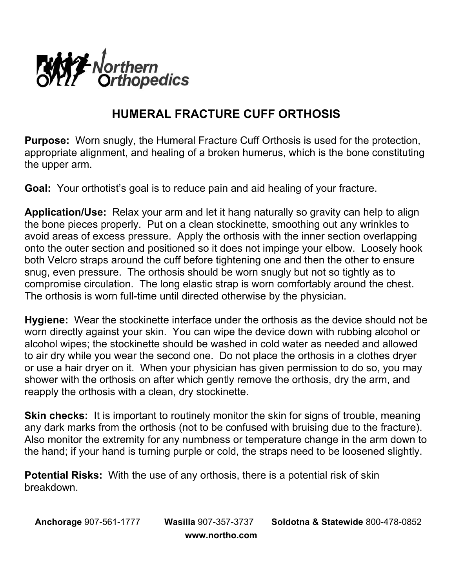

## **HUMERAL FRACTURE CUFF ORTHOSIS**

**Purpose:** Worn snugly, the Humeral Fracture Cuff Orthosis is used for the protection, appropriate alignment, and healing of a broken humerus, which is the bone constituting the upper arm.

**Goal:** Your orthotist's goal is to reduce pain and aid healing of your fracture.

**Application/Use:** Relax your arm and let it hang naturally so gravity can help to align the bone pieces properly. Put on a clean stockinette, smoothing out any wrinkles to avoid areas of excess pressure. Apply the orthosis with the inner section overlapping onto the outer section and positioned so it does not impinge your elbow. Loosely hook both Velcro straps around the cuff before tightening one and then the other to ensure snug, even pressure. The orthosis should be worn snugly but not so tightly as to compromise circulation. The long elastic strap is worn comfortably around the chest. The orthosis is worn full-time until directed otherwise by the physician.

**Hygiene:** Wear the stockinette interface under the orthosis as the device should not be worn directly against your skin. You can wipe the device down with rubbing alcohol or alcohol wipes; the stockinette should be washed in cold water as needed and allowed to air dry while you wear the second one. Do not place the orthosis in a clothes dryer or use a hair dryer on it. When your physician has given permission to do so, you may shower with the orthosis on after which gently remove the orthosis, dry the arm, and reapply the orthosis with a clean, dry stockinette.

**Skin checks:** It is important to routinely monitor the skin for signs of trouble, meaning any dark marks from the orthosis (not to be confused with bruising due to the fracture). Also monitor the extremity for any numbness or temperature change in the arm down to the hand; if your hand is turning purple or cold, the straps need to be loosened slightly.

**Potential Risks:** With the use of any orthosis, there is a potential risk of skin breakdown.